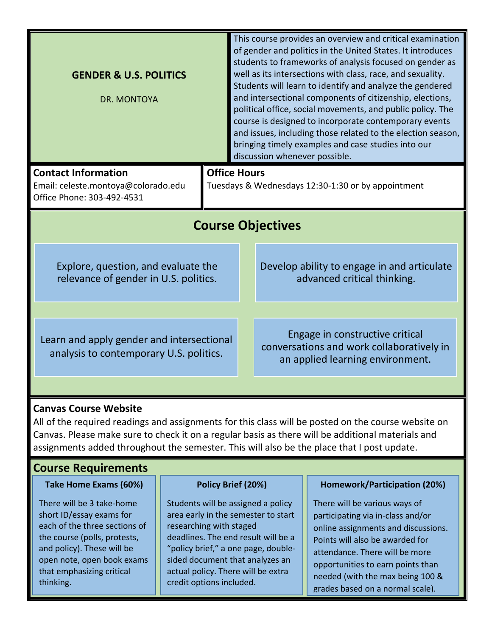|                                                                                      | This course provides an overview and critical examination<br>of gender and politics in the United States. It introduces<br>students to frameworks of analysis focused on gender as<br>well as its intersections with class, race, and sexuality.<br>Students will learn to identify and analyze the gendered<br>and intersectional components of citizenship, elections,<br>political office, social movements, and public policy. The<br>course is designed to incorporate contemporary events<br>and issues, including those related to the election season,<br>bringing timely examples and case studies into our<br>discussion whenever possible. |  |  |
|--------------------------------------------------------------------------------------|-------------------------------------------------------------------------------------------------------------------------------------------------------------------------------------------------------------------------------------------------------------------------------------------------------------------------------------------------------------------------------------------------------------------------------------------------------------------------------------------------------------------------------------------------------------------------------------------------------------------------------------------------------|--|--|
| <b>Office Hours</b><br>Tuesdays & Wednesdays 12:30-1:30 or by appointment            |                                                                                                                                                                                                                                                                                                                                                                                                                                                                                                                                                                                                                                                       |  |  |
| <b>Course Objectives</b>                                                             |                                                                                                                                                                                                                                                                                                                                                                                                                                                                                                                                                                                                                                                       |  |  |
| Explore, question, and evaluate the<br>relevance of gender in U.S. politics.         | Develop ability to engage in and articulate<br>advanced critical thinking.                                                                                                                                                                                                                                                                                                                                                                                                                                                                                                                                                                            |  |  |
| Learn and apply gender and intersectional<br>analysis to contemporary U.S. politics. | Engage in constructive critical<br>conversations and work collaboratively in<br>an applied learning environment.                                                                                                                                                                                                                                                                                                                                                                                                                                                                                                                                      |  |  |
|                                                                                      |                                                                                                                                                                                                                                                                                                                                                                                                                                                                                                                                                                                                                                                       |  |  |

## **Canvas Course Website**

All of the required readings and assignments for this class will be posted on the course website on Canvas. Please make sure to check it on a regular basis as there will be additional materials and assignments added throughout the semester. This will also be the place that I post update.

# **Course Requirements**

### **Take Home Exams (60%)**

There will be 3 take-home short ID/essay exams for each of the three sections of the course (polls, protests, and policy). These will be open note, open book exams that emphasizing critical thinking.

## **Policy Brief (20%)**

Students will be assigned a policy area early in the semester to start researching with staged deadlines. The end result will be a "policy brief," a one page, doublesided document that analyzes an actual policy. There will be extra credit options included.

## **Homework/Participation (20%)**

There will be various ways of participating via in-class and/or online assignments and discussions. Points will also be awarded for attendance. There will be more opportunities to earn points than needed (with the max being 100 & grades based on a normal scale).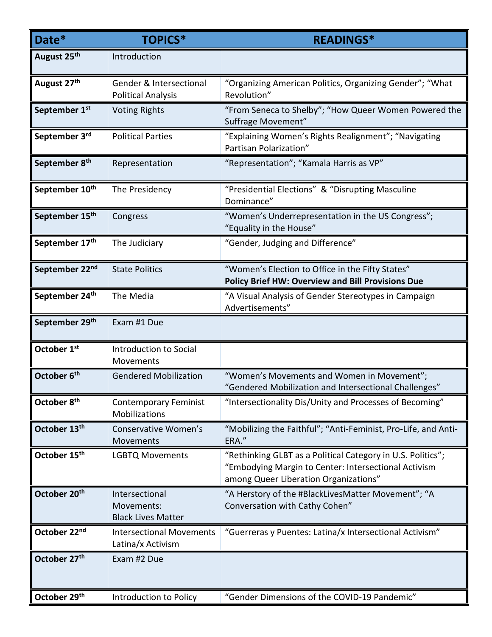| Date*                      | <b>TOPICS*</b>                                            | <b>READINGS*</b>                                                                                                                                             |
|----------------------------|-----------------------------------------------------------|--------------------------------------------------------------------------------------------------------------------------------------------------------------|
| August 25th                | Introduction                                              |                                                                                                                                                              |
| August 27th                | Gender & Intersectional<br><b>Political Analysis</b>      | "Organizing American Politics, Organizing Gender"; "What<br>Revolution"                                                                                      |
| September 1st              | <b>Voting Rights</b>                                      | "From Seneca to Shelby"; "How Queer Women Powered the<br>Suffrage Movement"                                                                                  |
| September 3rd              | <b>Political Parties</b>                                  | "Explaining Women's Rights Realignment"; "Navigating<br>Partisan Polarization"                                                                               |
| September 8 <sup>th</sup>  | Representation                                            | "Representation"; "Kamala Harris as VP"                                                                                                                      |
| September 10th             | The Presidency                                            | "Presidential Elections" & "Disrupting Masculine<br>Dominance"                                                                                               |
| September 15th             | Congress                                                  | "Women's Underrepresentation in the US Congress";<br>"Equality in the House"                                                                                 |
| September 17th             | The Judiciary                                             | "Gender, Judging and Difference"                                                                                                                             |
| September 22 <sup>nd</sup> | <b>State Politics</b>                                     | "Women's Election to Office in the Fifty States"<br><b>Policy Brief HW: Overview and Bill Provisions Due</b>                                                 |
| September 24th             | The Media                                                 | "A Visual Analysis of Gender Stereotypes in Campaign<br>Advertisements"                                                                                      |
| September 29th             | Exam #1 Due                                               |                                                                                                                                                              |
| October 1st                | Introduction to Social<br>Movements                       |                                                                                                                                                              |
| October 6th                | <b>Gendered Mobilization</b>                              | "Women's Movements and Women in Movement";<br>"Gendered Mobilization and Intersectional Challenges"                                                          |
| October 8th                | <b>Contemporary Feminist</b><br>Mobilizations             | "Intersectionality Dis/Unity and Processes of Becoming"                                                                                                      |
| October 13th               | Conservative Women's<br>Movements                         | "Mobilizing the Faithful"; "Anti-Feminist, Pro-Life, and Anti-<br>ERA."                                                                                      |
| October 15th               | <b>LGBTQ Movements</b>                                    | "Rethinking GLBT as a Political Category in U.S. Politics";<br>"Embodying Margin to Center: Intersectional Activism<br>among Queer Liberation Organizations" |
| October 20 <sup>th</sup>   | Intersectional<br>Movements:<br><b>Black Lives Matter</b> | "A Herstory of the #BlackLivesMatter Movement"; "A<br>Conversation with Cathy Cohen"                                                                         |
| October 22nd               | <b>Intersectional Movements</b><br>Latina/x Activism      | "Guerreras y Puentes: Latina/x Intersectional Activism"                                                                                                      |
| October 27th               | Exam #2 Due                                               |                                                                                                                                                              |
| October 29th               | Introduction to Policy                                    | "Gender Dimensions of the COVID-19 Pandemic"                                                                                                                 |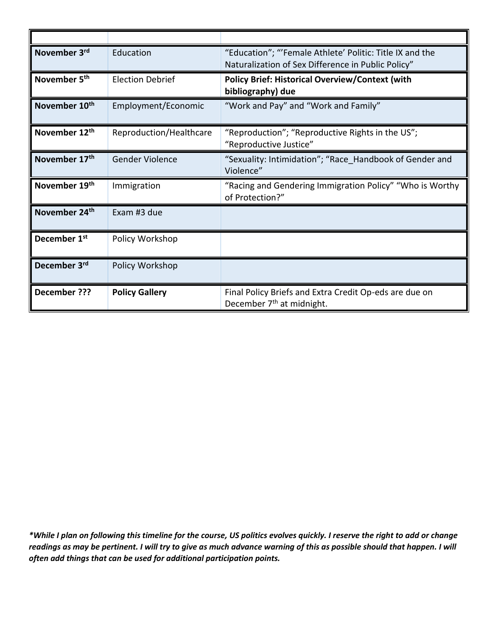| November 3rd              | Education               | "Education"; "'Female Athlete' Politic: Title IX and the<br>Naturalization of Sex Difference in Public Policy" |
|---------------------------|-------------------------|----------------------------------------------------------------------------------------------------------------|
| November 5 <sup>th</sup>  | <b>Election Debrief</b> | <b>Policy Brief: Historical Overview/Context (with</b><br>bibliography) due                                    |
| November 10 <sup>th</sup> | Employment/Economic     | "Work and Pay" and "Work and Family"                                                                           |
| November 12th             | Reproduction/Healthcare | "Reproduction"; "Reproductive Rights in the US";<br>"Reproductive Justice"                                     |
| November 17 <sup>th</sup> | <b>Gender Violence</b>  | "Sexuality: Intimidation"; "Race Handbook of Gender and<br>Violence"                                           |
| November 19th             | Immigration             | "Racing and Gendering Immigration Policy" "Who is Worthy<br>of Protection?"                                    |
| November 24th             | Exam #3 due             |                                                                                                                |
| December 1 <sup>st</sup>  | Policy Workshop         |                                                                                                                |
| December 3rd              | Policy Workshop         |                                                                                                                |
| <b>December ???</b>       | <b>Policy Gallery</b>   | Final Policy Briefs and Extra Credit Op-eds are due on<br>December 7 <sup>th</sup> at midnight.                |

*\*While I plan on following this timeline for the course, US politics evolves quickly. I reserve the right to add or change readings as may be pertinent. I will try to give as much advance warning of this as possible should that happen. I will often add things that can be used for additional participation points.*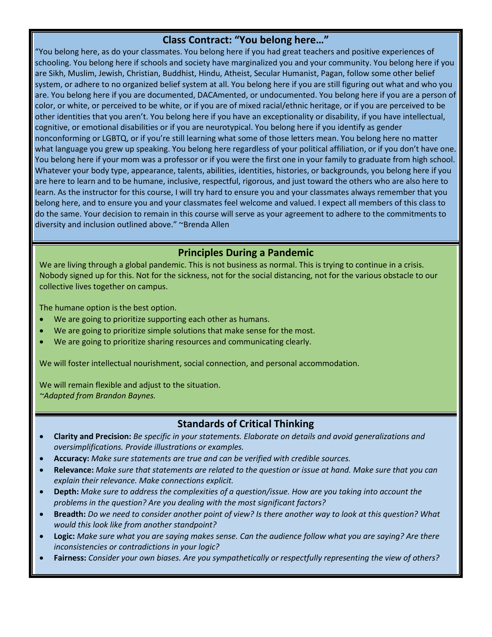## **Class Contract: "You belong here…"**

"You belong here, as do your classmates. You belong here if you had great teachers and positive experiences of schooling. You belong here if schools and society have marginalized you and your community. You belong here if you are Sikh, Muslim, Jewish, Christian, Buddhist, Hindu, Atheist, Secular Humanist, Pagan, follow some other belief system, or adhere to no organized belief system at all. You belong here if you are still figuring out what and who you are. You belong here if you are documented, DACAmented, or undocumented. You belong here if you are a person of color, or white, or perceived to be white, or if you are of mixed racial/ethnic heritage, or if you are perceived to be other identities that you aren't. You belong here if you have an exceptionality or disability, if you have intellectual, cognitive, or emotional disabilities or if you are neurotypical. You belong here if you identify as gender nonconforming or LGBTQ, or if you're still learning what some of those letters mean. You belong here no matter what language you grew up speaking. You belong here regardless of your political affiliation, or if you don't have one. You belong here if your mom was a professor or if you were the first one in your family to graduate from high school. Whatever your body type, appearance, talents, abilities, identities, histories, or backgrounds, you belong here if you are here to learn and to be humane, inclusive, respectful, rigorous, and just toward the others who are also here to learn. As the instructor for this course, I will try hard to ensure you and your classmates always remember that you belong here, and to ensure you and your classmates feel welcome and valued. I expect all members of this class to do the same. Your decision to remain in this course will serve as your agreement to adhere to the commitments to diversity and inclusion outlined above." ~Brenda Allen

### **Principles During a Pandemic**

We are living through a global pandemic. This is not business as normal. This is trying to continue in a crisis. Nobody signed up for this. Not for the sickness, not for the social distancing, not for the various obstacle to our collective lives together on campus.

The humane option is the best option.

- We are going to prioritize supporting each other as humans.
- We are going to prioritize simple solutions that make sense for the most.
- We are going to prioritize sharing resources and communicating clearly.

We will foster intellectual nourishment, social connection, and personal accommodation.

We will remain flexible and adjust to the situation. *~Adapted from Brandon Baynes.*

## **Standards of Critical Thinking**

- **Clarity and Precision:** *Be specific in your statements. Elaborate on details and avoid generalizations and oversimplifications. Provide illustrations or examples.*
- **Accuracy:** *Make sure statements are true and can be verified with credible sources.*
- **Relevance:** *Make sure that statements are related to the question or issue at hand. Make sure that you can explain their relevance. Make connections explicit.*
- **Depth:** *Make sure to address the complexities of a question/issue. How are you taking into account the problems in the question? Are you dealing with the most significant factors?*
- **Breadth:** *Do we need to consider another point of view? Is there another way to look at this question? What would this look like from another standpoint?*
- **Logic:** *Make sure what you are saying makes sense. Can the audience follow what you are saying? Are there inconsistencies or contradictions in your logic?*
- **Fairness:** *Consider your own biases. Are you sympathetically or respectfully representing the view of others?*